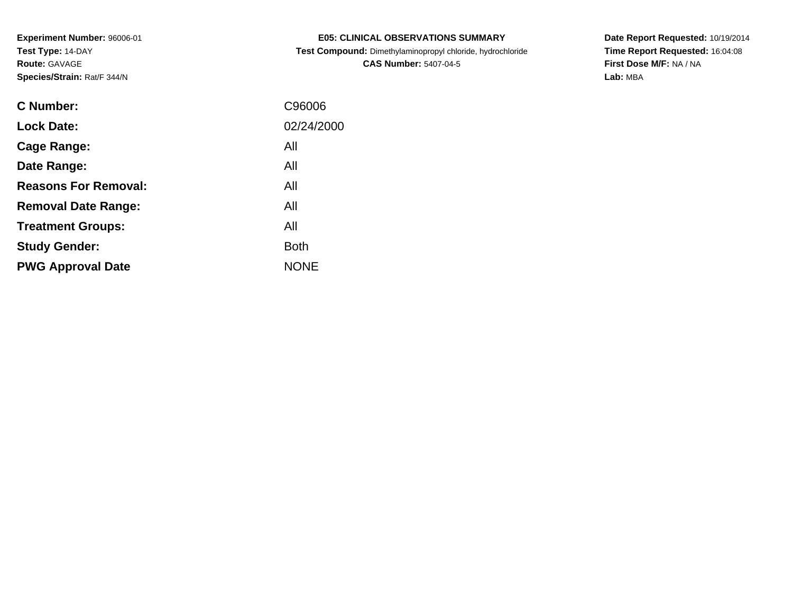| <b>E05: CLINICAL OBSERVATIONS SUMMARY</b>                  |
|------------------------------------------------------------|
| Test Compound: Dimethylaminopropyl chloride, hydrochloride |

**CAS Number:** 5407-04-5

**Date Report Requested:** 10/19/2014 **Time Report Requested:** 16:04:08**First Dose M/F:** NA / NA**Lab:** MBA

| <b>C</b> Number:            | C96006      |
|-----------------------------|-------------|
| <b>Lock Date:</b>           | 02/24/2000  |
| Cage Range:                 | All         |
| Date Range:                 | All         |
| <b>Reasons For Removal:</b> | All         |
| <b>Removal Date Range:</b>  | All         |
| <b>Treatment Groups:</b>    | All         |
| <b>Study Gender:</b>        | <b>Both</b> |
| <b>PWG Approval Date</b>    | <b>NONE</b> |
|                             |             |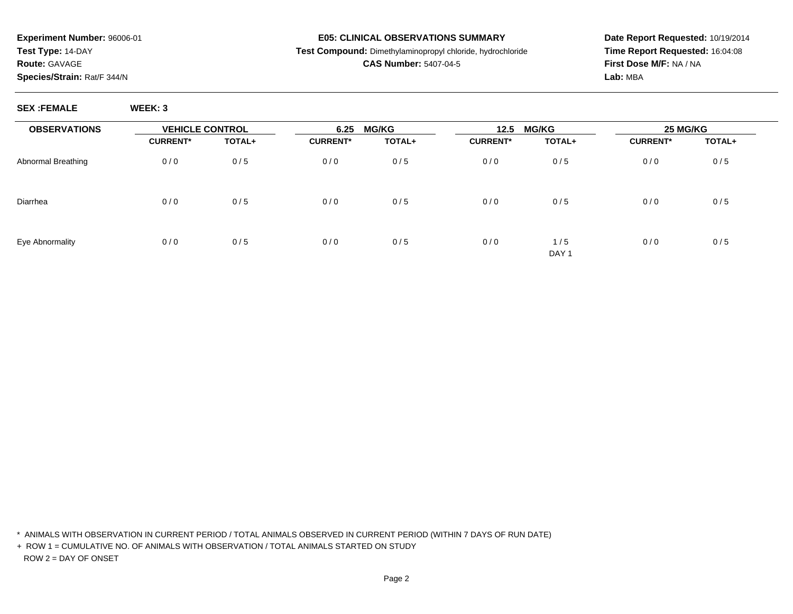#### **E05: CLINICAL OBSERVATIONS SUMMARY**

### **Test Compound:** Dimethylaminopropyl chloride, hydrochloride

### **CAS Number:** 5407-04-5

**Date Report Requested:** 10/19/2014**Time Report Requested:** 16:04:08**First Dose M/F:** NA / NA**Lab:** MBA

**SEX :FEMALE WEEK: 3**

| <b>OBSERVATIONS</b> | <b>VEHICLE CONTROL</b> |        | <b>MG/KG</b><br>6.25 |        | <b>MG/KG</b><br>12.5 |                         | 25 MG/KG        |        |
|---------------------|------------------------|--------|----------------------|--------|----------------------|-------------------------|-----------------|--------|
|                     | <b>CURRENT*</b>        | TOTAL+ | <b>CURRENT*</b>      | TOTAL+ | <b>CURRENT*</b>      | TOTAL+                  | <b>CURRENT*</b> | TOTAL+ |
| Abnormal Breathing  | 0/0                    | 0/5    | 0/0                  | 0/5    | 0/0                  | 0/5                     | 0/0             | 0/5    |
| Diarrhea            | 0/0                    | 0/5    | 0/0                  | 0/5    | 0/0                  | 0/5                     | 0/0             | 0/5    |
| Eye Abnormality     | 0/0                    | 0/5    | 0/0                  | 0/5    | 0/0                  | 1/5<br>DAY <sub>1</sub> | 0/0             | 0/5    |

\* ANIMALS WITH OBSERVATION IN CURRENT PERIOD / TOTAL ANIMALS OBSERVED IN CURRENT PERIOD (WITHIN 7 DAYS OF RUN DATE)

+ ROW 1 = CUMULATIVE NO. OF ANIMALS WITH OBSERVATION / TOTAL ANIMALS STARTED ON STUDYROW 2 = DAY OF ONSET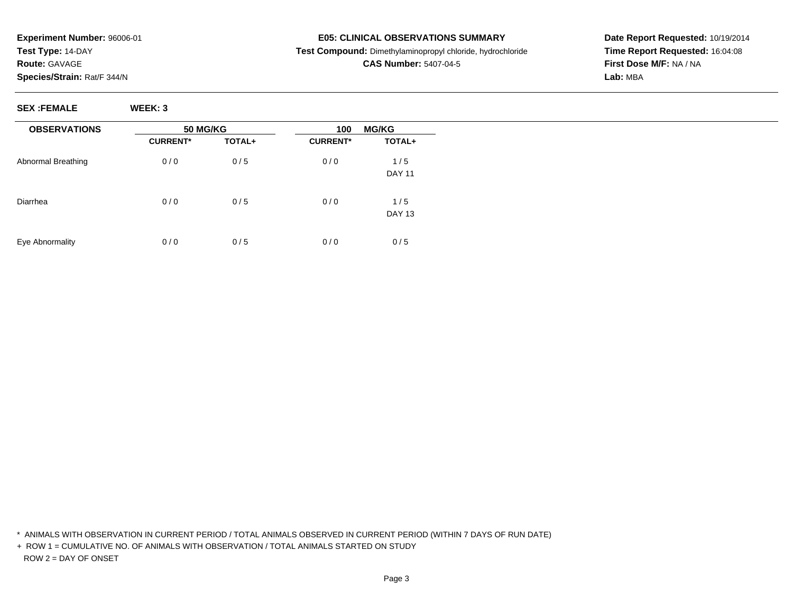## **SEX :FEMALE WEEK: 3**

| <b>OBSERVATIONS</b> | <b>50 MG/KG</b> |        | <b>MG/KG</b><br>100 |                      |  |
|---------------------|-----------------|--------|---------------------|----------------------|--|
|                     | <b>CURRENT*</b> | TOTAL+ | <b>CURRENT*</b>     | TOTAL+               |  |
| Abnormal Breathing  | 0/0             | 0/5    | 0/0                 | 1/5<br><b>DAY 11</b> |  |
| Diarrhea            | 0/0             | 0/5    | 0/0                 | 1/5<br><b>DAY 13</b> |  |
| Eye Abnormality     | 0/0             | 0/5    | 0/0                 | 0/5                  |  |

\* ANIMALS WITH OBSERVATION IN CURRENT PERIOD / TOTAL ANIMALS OBSERVED IN CURRENT PERIOD (WITHIN 7 DAYS OF RUN DATE)

+ ROW 1 = CUMULATIVE NO. OF ANIMALS WITH OBSERVATION / TOTAL ANIMALS STARTED ON STUDYROW 2 = DAY OF ONSET

**Date Report Requested:** 10/19/2014**Time Report Requested:** 16:04:08**First Dose M/F:** NA / NA**Lab:** MBA

### **E05: CLINICAL OBSERVATIONS SUMMARY**

 **Test Compound:** Dimethylaminopropyl chloride, hydrochloride**CAS Number:** 5407-04-5